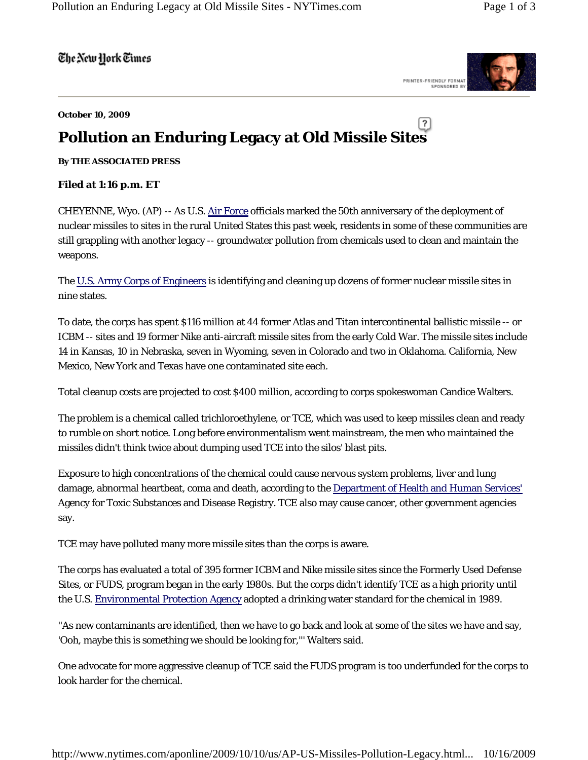## The New York Times



**October 10, 2009** 

## $\overline{?}$ **Pollution an Enduring Legacy at Old Missile Sites**

## **By THE ASSOCIATED PRESS**

## **Filed at 1:16 p.m. ET**

CHEYENNE, Wyo. (AP) -- As U.S. Air Force officials marked the 50th anniversary of the deployment of nuclear missiles to sites in the rural United States this past week, residents in some of these communities are still grappling with another legacy -- groundwater pollution from chemicals used to clean and maintain the weapons.

The U.S. Army Corps of Engineers is identifying and cleaning up dozens of former nuclear missile sites in nine states.

To date, the corps has spent \$116 million at 44 former Atlas and Titan intercontinental ballistic missile -- or ICBM -- sites and 19 former Nike anti-aircraft missile sites from the early Cold War. The missile sites include 14 in Kansas, 10 in Nebraska, seven in Wyoming, seven in Colorado and two in Oklahoma. California, New Mexico, New York and Texas have one contaminated site each.

Total cleanup costs are projected to cost \$400 million, according to corps spokeswoman Candice Walters.

The problem is a chemical called trichloroethylene, or TCE, which was used to keep missiles clean and ready to rumble on short notice. Long before environmentalism went mainstream, the men who maintained the missiles didn't think twice about dumping used TCE into the silos' blast pits.

Exposure to high concentrations of the chemical could cause nervous system problems, liver and lung damage, abnormal heartbeat, coma and death, according to the Department of Health and Human Services' Agency for Toxic Substances and Disease Registry. TCE also may cause cancer, other government agencies say.

TCE may have polluted many more missile sites than the corps is aware.

The corps has evaluated a total of 395 former ICBM and Nike missile sites since the Formerly Used Defense Sites, or FUDS, program began in the early 1980s. But the corps didn't identify TCE as a high priority until the U.S. Environmental Protection Agency adopted a drinking water standard for the chemical in 1989.

''As new contaminants are identified, then we have to go back and look at some of the sites we have and say, 'Ooh, maybe this is something we should be looking for,''' Walters said.

One advocate for more aggressive cleanup of TCE said the FUDS program is too underfunded for the corps to look harder for the chemical.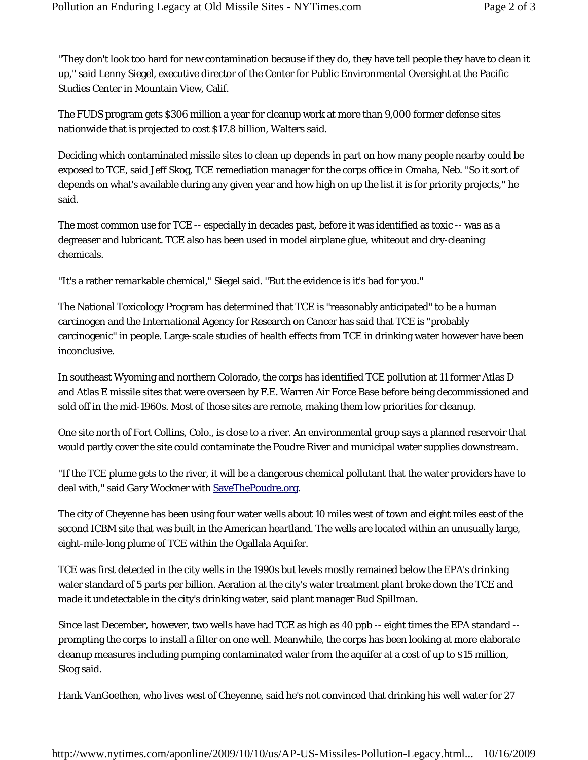''They don't look too hard for new contamination because if they do, they have tell people they have to clean it up,'' said Lenny Siegel, executive director of the Center for Public Environmental Oversight at the Pacific Studies Center in Mountain View, Calif.

The FUDS program gets \$306 million a year for cleanup work at more than 9,000 former defense sites nationwide that is projected to cost \$17.8 billion, Walters said.

Deciding which contaminated missile sites to clean up depends in part on how many people nearby could be exposed to TCE, said Jeff Skog, TCE remediation manager for the corps office in Omaha, Neb. ''So it sort of depends on what's available during any given year and how high on up the list it is for priority projects,'' he said.

The most common use for TCE -- especially in decades past, before it was identified as toxic -- was as a degreaser and lubricant. TCE also has been used in model airplane glue, whiteout and dry-cleaning chemicals.

''It's a rather remarkable chemical,'' Siegel said. ''But the evidence is it's bad for you.''

The National Toxicology Program has determined that TCE is ''reasonably anticipated'' to be a human carcinogen and the International Agency for Research on Cancer has said that TCE is ''probably carcinogenic'' in people. Large-scale studies of health effects from TCE in drinking water however have been inconclusive.

In southeast Wyoming and northern Colorado, the corps has identified TCE pollution at 11 former Atlas D and Atlas E missile sites that were overseen by F.E. Warren Air Force Base before being decommissioned and sold off in the mid-1960s. Most of those sites are remote, making them low priorities for cleanup.

One site north of Fort Collins, Colo., is close to a river. An environmental group says a planned reservoir that would partly cover the site could contaminate the Poudre River and municipal water supplies downstream.

''If the TCE plume gets to the river, it will be a dangerous chemical pollutant that the water providers have to deal with," said Gary Wockner with SaveThePoudre.org.

The city of Cheyenne has been using four water wells about 10 miles west of town and eight miles east of the second ICBM site that was built in the American heartland. The wells are located within an unusually large, eight-mile-long plume of TCE within the Ogallala Aquifer.

TCE was first detected in the city wells in the 1990s but levels mostly remained below the EPA's drinking water standard of 5 parts per billion. Aeration at the city's water treatment plant broke down the TCE and made it undetectable in the city's drinking water, said plant manager Bud Spillman.

Since last December, however, two wells have had TCE as high as 40 ppb -- eight times the EPA standard - prompting the corps to install a filter on one well. Meanwhile, the corps has been looking at more elaborate cleanup measures including pumping contaminated water from the aquifer at a cost of up to \$15 million, Skog said.

Hank VanGoethen, who lives west of Cheyenne, said he's not convinced that drinking his well water for 27